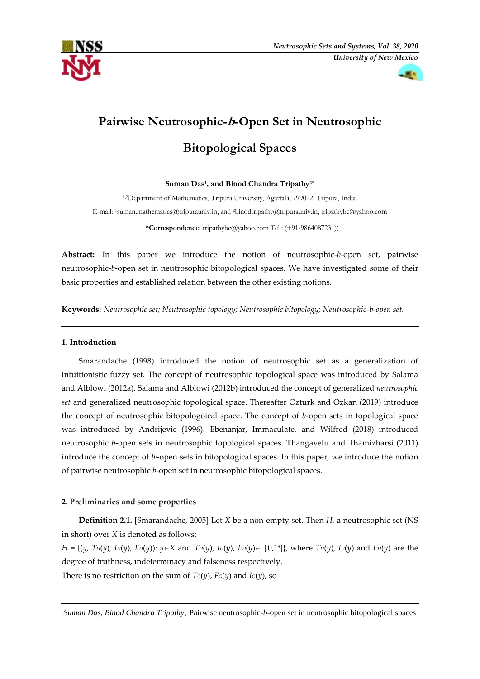



# **Pairwise Neutrosophic-b-Open Set in Neutrosophic Bitopological Spaces**

# **Suman Das<sup>1</sup> , and Binod Chandra Tripathy2\***

1,2Department of Mathematics, Tripura University, Agartala, 799022, Tripura, India. E-mail: 1[suman.mathematics@tripurauniv.in,](mailto:1suman.mathematics@tripurauniv.in) and 2binodtripathy@tripurauniv.in, tripathybc@yahoo.com

**\*Correspondence:** tripathybc@yahoo.com Tel.: (+91-9864087231))

**Abstract:** In this paper we introduce the notion of neutrosophic-*b*-open set, pairwise neutrosophic-*b*-open set in neutrosophic bitopological spaces. We have investigated some of their basic properties and established relation between the other existing notions.

**Keywords:** *Neutrosophic set; Neutrosophic topology; Neutrosophic bitopology; Neutrosophic-b-open set.*

# **1. Introduction**

Smarandache (1998) introduced the notion of neutrosophic set as a generalization of intuitionistic fuzzy set. The concept of neutrosophic topological space was introduced by Salama and Alblowi (2012a). Salama and Alblowi (2012b) introduced the concept of generalized *neutrosophic set* and generalized neutrosophic topological space. Thereafter Ozturk and Ozkan (2019) introduce the concept of neutrosophic bitopologoical space. The concept of *b*-open sets in topological space was introduced by Andrijevic (1996). Ebenanjar, Immaculate, and Wilfred (2018) introduced neutrosophic *b*-open sets in neutrosophic topological spaces. Thangavelu and Thamizharsi (2011) introduce the concept of *bt*-open sets in bitopological spaces. In this paper, we introduce the notion of pairwise neutrosophic *b*-open set in neutrosophic bitopological spaces.

# **2. Preliminaries and some properties**

**Definition 2.1.** [Smarandache, 2005] Let *X* be a non-empty set. Then *H*, a neutrosophic set (NS in short) over *X* is denoted as follows:

 $H = \{(y, T_H(y), I_H(y), F_H(y)) : y \in X \text{ and } T_H(y), I_H(y), F_H(y) \in ]0,1^+[\}$ , where  $T_H(y), I_H(y)$  and  $F_H(y)$  are the degree of truthness, indeterminacy and falseness respectively.

There is no restriction on the sum of  $T_G(y)$ ,  $F_G(y)$  and  $I_G(y)$ , so

*Suman Das*, *Binod Chandra Tripathy*, Pairwise neutrosophic-*b*-open set in neutrosophic bitopological spaces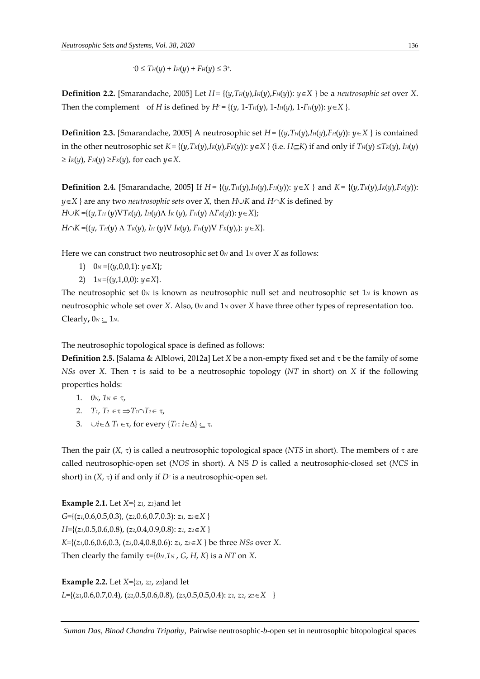$$
0 \leq T_H(y) + I_H(y) + F_H(y) \leq 3^*.
$$

**Definition 2.2.** [Smarandache, 2005] Let  $H = \{(y, T_H(y), I_H(y), F_H(y)) : y \in X\}$  be a *neutrosophic set* over *X*. Then the complement of *H* is defined by  $H^c = \{(y, 1 - T_H(y), 1 - I_H(y), 1 - F_H(y)) : y \in X\}$ .

**Definition 2.3.** [Smarandache, 2005] A neutrosophic set  $H = \{(y, Th(y), In(y), F_H(y)) : y \in X\}$  is contained in the other neutrosophic set  $K = \{(y, T\kappa(y), I\kappa(y)) : y \in X \}$  (i.e.  $H \subset K$ ) if and only if  $T_H(y) \leq T_K(y)$ ,  $I_H(y)$  $\geq$  *I*<sub>K</sub>(*y*), *F*<sub>H</sub>(*y*)  $\geq$  *F*<sub>K</sub>(*y*), for each *y*  $\in$  *X*.

**Definition 2.4.** [Smarandache, 2005] If  $H = \{(y, T_H(y), I_H(y), F_H(y)) : y \in X \}$  and  $K = \{(y, T_K(y), I_K(y), F_K(y)) : g \in X \}$  $y \in X$  } are any two *neutrosophic sets* over *X*, then  $H \cup K$  and  $H \cap K$  is defined by *H* $K$  ={(*y*, *T*<sub>*H*</sub> (*y*)  $V$ *T*<sub>*K*</sub>(*y*), *I*<sub>*H*</sub>(*y*) *I*<sub>*K*</sub> (*y*), *F*<sub>*H*</sub>(*y*)): *y*  $\in$ *X*}; *H* $\cap$ *K* ={(*y*, *T*<sub>*H*</sub>(*y*)  $\land$  *T*<sub>*K*</sub>(*y*), *I*<sub>*H*</sub> (*y*)*V I<sub><i>K*</sub>(*y*)*N F*<sub>*K*</sub>(*y*), *y*  $\in$ *X*}.

Here we can construct two neutrosophic set 0*<sup>N</sup>* and 1*<sup>N</sup>* over *X* as follows:

- 1)  $0_N = \{(y,0,0,1): y \in X\};$
- 2)  $1_N = \{(y,1,0,0): y \in X\}.$

The neutrosophic set 0*<sup>N</sup>* is known as neutrosophic null set and neutrosophic set 1*<sup>N</sup>* is known as neutrosophic whole set over *X*. Also, 0*<sup>N</sup>* and 1*<sup>N</sup>* over *X* have three other types of representation too. Clearly,  $0_N \subseteq 1_N$ .

The neutrosophic topological space is defined as follows:

**Definition 2.5.** [Salama & Alblowi, 2012a] Let *X* be a non-empty fixed set and  $\tau$  be the family of some *NSs* over *X*. Then  $\tau$  is said to be a neutrosophic topology (*NT* in short) on *X* if the following properties holds:

- 1.  $0_N$ ,  $1_N \in \tau$ ,
- 2. *T*<sub>1</sub>,  $T_2 \in \tau \implies T_1 \cap T_2 \in \tau$ ,
- 3.  $\bigcup i \in \Delta$   $T_i \in \tau$ , for every  $\{T_i : i \in \Delta\} \subseteq \tau$ .

Then the pair  $(X, \tau)$  is called a neutrosophic topological space (*NTS* in short). The members of  $\tau$  are called neutrosophic-open set (*NOS* in short). A NS *D* is called a neutrosophic-closed set (*NCS* in short) in  $(X, \tau)$  if and only if  $D^c$  is a neutrosophic-open set.

**Example 2.1.** Let *X*={ *z1, z2*}and let *G=*{(*z1*,0.6,0.5,0.3), (*z2*,0.6,0.7,0.3): *z1, z2X* } *H*={(*z*<sub>1</sub>,0.5,0.6,0.8), (*z*<sub>2</sub>,0.4,0.9,0.8): *z*<sub>1</sub>, *z*<sub>2</sub>∈*X* } *K=*{(*z1*,0.6,0.6,0.3, (*z2*,0.4,0.8,0.6): *z1, z2X* } be three *NSs* over *X*. Then clearly the family  $\tau = \{0_N, 1_N, G, H, K\}$  is a *NT* on *X*.

**Example 2.2.** Let *X*={*z1, z2*, z3}and let *L=*{(*z1*,0.6,0.7,0.4), (*z2*,0.5,0.6,0.8), (*z3*,0.5,0.5,0.4): *z1, z2*, z3*X* }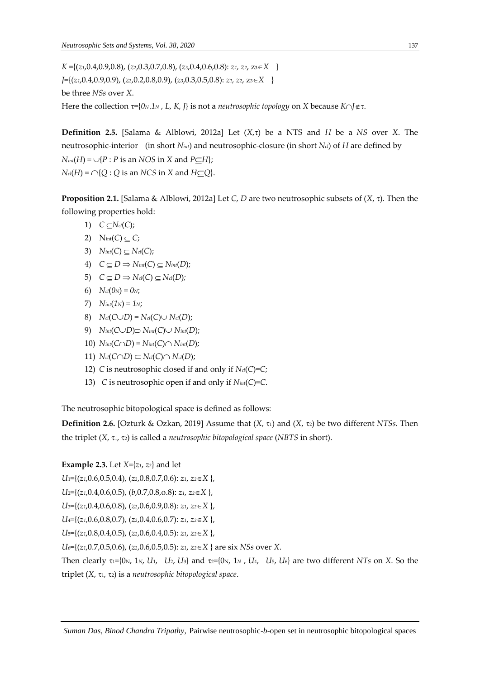*K* ={(*z1*,0.4,0.9,0.8), (*z2*,0.3,0.7,0.8), (*z3*,0.4,0.6,0.8): *z1, z2*, z3*X* } *J=*{(*z1*,0.4,0.9,0.9), (*z2*,0.2,0.8,0.9), (*z3*,0.3,0.5,0.8): *z1, z2*, z3*X* } be three *NSs* over *X*. Here the collection  $\tau = \{0_N, 1_N, L, K, J\}$  is not a *neutrosophic topology* on *X* because  $K \cap J \notin \tau$ .

**Definition 2.5.** [Salama & Alblowi, 2012a] Let  $(X,\tau)$  be a NTS and *H* be a NS over *X*. The neutrosophic-interior (in short *Nint*) and neutrosophic-closure (in short *Ncl*) of *H* are defined by  $N<sub>int</sub>(H) = \bigcup \{P : P \text{ is an NOS in } X \text{ and } P \subset H\};$  $N_{cl}(H) = \bigcap \{O : O \text{ is an } NCS \text{ in } X \text{ and } H \subset O\}.$ 

**Proposition 2.1.** [Salama & Alblowi, 2012a] Let *C*, *D* are two neutrosophic subsets of  $(X, \tau)$ . Then the following properties hold:

- 1)  $C \subseteq N_{cl}(C);$
- 2) Nint( $C \subseteq C$ ;
- 3)  $N_{int}(C) \subset N_{cl}(C);$
- 4)  $C \subseteq D \Rightarrow N_{int}(C) \subseteq N_{int}(D);$
- 5)  $C \subseteq D \Rightarrow N_{cl}(C) \subseteq N_{cl}(D);$
- 6)  $N_{cl}(0_N) = 0_N$ ;
- 7)  $N_{int}(1_N) = 1_N;$
- 8)  $N_{cl}(C \cup D) = N_{cl}(C) \cup N_{cl}(D);$
- 9)  $N_{int}(C \cup D) \supset N_{int}(C) \cup N_{int}(D);$
- 10)  $N_{int}(C \cap D) = N_{int}(C) \cap N_{int}(D);$
- 11)  $N_{cl}(C \cap D) \subset N_{cl}(C) \cap N_{cl}(D);$
- 12) *C* is neutrosophic closed if and only if  $N_{cl}(C) = C$ ;
- 13) *C* is neutrosophic open if and only if *Nint*(*C*)=*C*.

The neutrosophic bitopological space is defined as follows:

**Definition 2.6.** [Ozturk & Ozkan, 2019] Assume that  $(X, \tau_1)$  and  $(X, \tau_2)$  be two different *NTSs*. Then the triplet (*X*, τ<sub>1</sub>, τ<sub>2</sub>) is called a *neutrosophic bitopological space* (*NBTS* in short).

**Example 2.3.** Let *X=*{*z1*, *z2*} and let

*U*1={(*z1*,0.6,0.5,0.4), (*z2*,0.8,0.7,0.6): *z1*, *z2X* },

*U*2={(*z1*,0.4,0.6,0.5), (*b*,0.7,0.8,o.8): *z1*, *z2X* },

*U*3={(*z1*,0.4,0.6,0.8), (*z2*,0.6,0.9,0.8): *z1*, *z2X* },

*U*4={(*z1*,0.6,0.8,0.7), (*z2*,0.4,0.6,0.7): *z1*, *z2X* },

*U*5={(*z1*,0.8,0.4,0.5), (*z2*,0.6,0.4,0.5): *z1*, *z2X* },

*U*6={(*z1*,0.7,0.5,0.6), (*z2*,0.6,0.5,0.5): *z1*, *z2X* } are six *NSs* over *X*.

Then clearly  $\tau_1 = \{0_N, 1_N, U_1, U_2, U_3\}$  and  $\tau_2 = \{0_N, 1_N, U_4, U_5, U_6\}$  are two different *NTs* on *X*. So the triplet  $(X, \tau_1, \tau_2)$  is a *neutrosophic bitopological space*.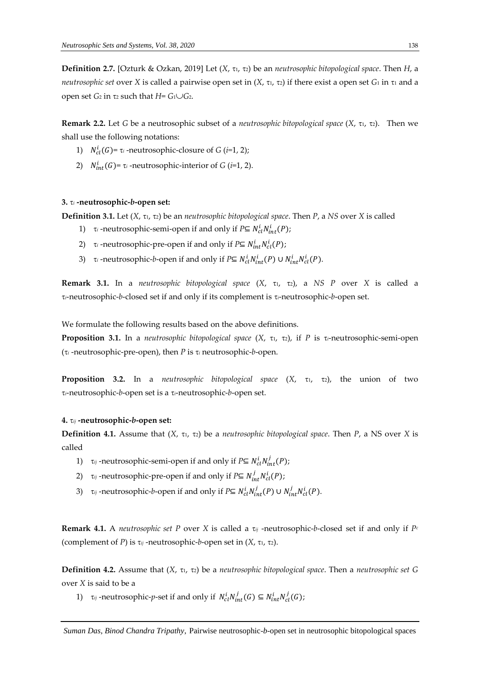**Definition 2.7.** [Ozturk & Ozkan, 2019] Let  $(X, \tau_1, \tau_2)$  be an *neutrosophic bitopological space*. Then *H*, a *neutrosophic set* over *X* is called a pairwise open set in  $(X, \tau_1, \tau_2)$  if there exist a open set  $G_1$  in  $\tau_1$  and a open set  $G_2$  in  $\tau_2$  such that  $H = G_1 \cup G_2$ .

**Remark 2.2.** Let *G* be a neutrosophic subset of a *neutrosophic bitopological space*  $(X, \tau_1, \tau_2)$ . Then we shall use the following notations:

- 1)  $N_{cl}^{i}(G)$ =  $\tau$ <sub>*i*</sub> -neutrosophic-closure of *G* (*i*=1, 2);
- 2)  $N_{int}^{i}(G)$  =  $\tau$ <sub>i</sub> -neutrosophic-interior of *G* (*i*=1, 2).

# **3.** *<sup>i</sup>* **-neutrosophic-***b***-open set:**

**Definition 3.1.** Let (*X*, 1, 2) be an *neutrosophic bitopological space*. Then *P*, a *NS* over *X* is called

- 1)  $\tau_i$  -neutrosophic-semi-open if and only if *P*⊆  $N_{cl}^i N_{int}^i(P)$ ;
- 2)  $\tau_i$  -neutrosophic-pre-open if and only if  $P \subseteq N_{int}^i N_{cl}^i(P)$ ;
- 3)  $\tau_i$  -neutrosophic-*b*-open if and only if  $P \subseteq N_{cl}^i N_{int}^i(P) \cup N_{int}^i N_{cl}^i(P)$ .

Remark 3.1. In a *neutrosophic bitopological space* (*X*, τι, τ2), a *NS P* over *X* is called a *i*-neutrosophic-*b*-closed set if and only if its complement is *i*-neutrosophic-*b*-open set.

We formulate the following results based on the above definitions.

**Proposition 3.1.** In a *neutrosophic bitopological space*  $(X, \tau_1, \tau_2)$ , if *P* is  $\tau_i$ -neutrosophic-semi-open  $(\tau_i$ -neutrosophic-pre-open), then *P* is  $\tau_i$  neutrosophic-*b*-open.

**Proposition 3.2.** In a *neutrosophic bitopological space*  $(X, \tau_1, \tau_2)$ , the union of two *i*-neutrosophic-*b*-open set is a *i*-neutrosophic-*b*-open set.

### **4.** *ij* **-neutrosophic-***b***-open set:**

**Definition 4.1.** Assume that  $(X, \tau_1, \tau_2)$  be a *neutrosophic bitopological space*. Then *P*, a NS over *X* is called

- 1) *τ<sub>ij</sub>* -neutrosophic-semi-open if and only if *P*⊆  $N_{cl}^i N_{int}^j(P)$ ;
- 2)  $\tau_{ij}$  -neutrosophic-pre-open if and only if *P*⊆  $N_{int}^j N_{cl}^i(P)$ ;
- 3)  $\tau_{ij}$  -neutrosophic-*b*-open if and only if  $P \subseteq N_{cl}^i N_{int}^j(P) \cup N_{int}^j N_{cl}^i(P)$ .

**Remark 4.1.** A *neutrosophic set P* over *X* is called a  $\tau_{ij}$  -neutrosophic-*b*-closed set if and only if  $P<sup>c</sup>$ (complement of *P*) is  $\tau_{ij}$ -neutrosophic-*b*-open set in  $(X, \tau_1, \tau_2)$ .

**Definition 4.2.** Assume that  $(X, \tau_1, \tau_2)$  be a *neutrosophic bitopological space*. Then a *neutrosophic set G* over *X* is said to be a

1) *τ<sub>ij</sub>* -neutrosophic-*p*-set if and only if  $N_{cl}^i N_{int}^j(G) ⊆ N_{int}^i N_{cl}^j(G)$ ;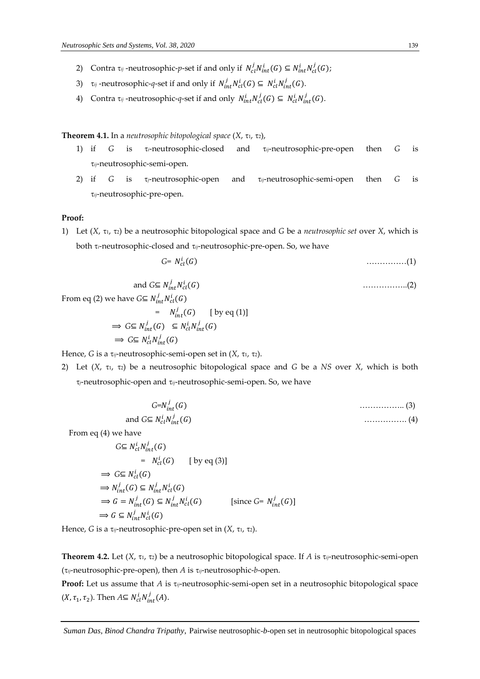- 2) Contra  $\tau_{ij}$ -neutrosophic-*p*-set if and only if  $N_{cl}^j N_{int}^i(G) \subseteq N_{int}^i N_{cl}^j(G)$ ;
- 3)  $\tau_{ij}$  -neutrosophic-*q*-set if and only if  $N_{int}^j N_{cl}^i(G) \subseteq N_{cl}^i N_{int}^j(G)$ .
- 4) Contra  $\tau_{ij}$  -neutrosophic-q-set if and only  $N_{int}^i N_{cl}^j(G) \subseteq N_{cl}^i N_{int}^j(G)$ .

**Theorem 4.1.** In a *neutrosophic bitopological space*  $(X, \tau_1, \tau_2)$ ,

- 1) if *G* is *i*-neutrosophic-closed and *ij*-neutrosophic-pre-open then *G* is *ij*-neutrosophic-semi-open.
- 2) if *G* is  $\tau_j$ -neutrosophic-open and  $\tau_j$ -neutrosophic-semi-open then *G* is *ij*-neutrosophic-pre-open.

## **Proof:**

1) Let (*X*, 1, 2) be a neutrosophic bitopological space and *G* be a *neutrosophic set* over *X*, which is both *i*-neutrosophic-closed and *ij*-neutrosophic-pre-open. So, we have

 *G*= () ……………(1)

$$
\text{and } G \subseteq N_{int}^j N_{cl}^i(G) \tag{2}
$$

From eq (2) we have  $G \subseteq N_{int}^j N_{cl}^i(G)$ 

$$
= N_{int}^{j}(G) \quad [\text{ by eq (1)}]
$$
  
\n⇒  $G \subseteq N_{int}^{j}(G) \subseteq N_{cl}^{i}N_{int}^{j}(G)$   
\n⇒  $G \subseteq N_{cl}^{i}N_{int}^{j}(G)$ 

Hence, *G* is a  $\tau_{ij}$ -neutrosophic-semi-open set in  $(X, \tau_1, \tau_2)$ .

2) Let  $(X, \tau_1, \tau_2)$  be a neutrosophic bitopological space and *G* be a *NS* over *X*, which is both *j*-neutrosophic-open and *ij*-neutrosophic-semi-open. So, we have

$$
G=N_{int}^{j}(G)
$$
\nand 
$$
G \subseteq N_{cl}^{i}N_{int}^{j}(G)
$$
\n(3)\n(4)

From eq (4) we have

$$
G \subseteq N_{cl}^i N_{int}^j(G)
$$
  
\n
$$
= N_{cl}^i(G) \qquad [\text{ by eq (3)}]
$$
  
\n
$$
\Rightarrow G \subseteq N_{cl}^j(G)
$$
  
\n
$$
\Rightarrow N_{int}^j(G) \subseteq N_{int}^j N_{cl}^i(G)
$$
  
\n
$$
\Rightarrow G = N_{int}^j (G) \subseteq N_{int}^j N_{cl}^i(G) \qquad [\text{since } G = N_{int}^j(G)]
$$
  
\n
$$
\Rightarrow G \subseteq N_{int}^j N_{cl}^i(G)
$$

Hence, *G* is a  $\tau_{ij}$ -neutrosophic-pre-open set in  $(X, \tau_1, \tau_2)$ .

**Theorem 4.2.** Let  $(X, \tau_1, \tau_2)$  be a neutrosophic bitopological space. If *A* is  $\tau_{ij}$ -neutrosophic-semi-open (*ij*-neutrosophic-pre-open), then *A* is *ij*-neutrosophic-*b*-open.

**Proof:** Let us assume that *A* is *ij*-neutrosophic-semi-open set in a neutrosophic bitopological space  $(X, \tau_1, \tau_2)$ . Then  $A \subseteq N_{cl}^i N_{int}^j(A)$ .

*Suman Das*, *Binod Chandra Tripathy*, Pairwise neutrosophic-*b*-open set in neutrosophic bitopological spaces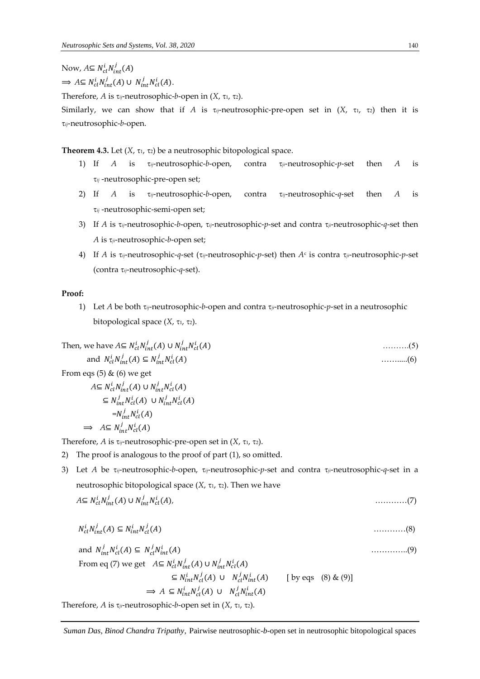Now,  $A \subseteq N_{cl}^i N_{int}^j(A)$ 

 $\Rightarrow A \subseteq N_{cl}^i N_{int}^j(A) \cup N_{int}^j N_{cl}^i(A).$ 

Therefore,  $A$  is  $\tau_{ij}$ -neutrosophic-*b*-open in  $(X, \tau_1, \tau_2)$ .

Similarly, we can show that if *A* is  $\tau_{ij}$ -neutrosophic-pre-open set in  $(X, \tau_1, \tau_2)$  then it is *ij*-neutrosophic-*b*-open.

**Theorem 4.3.** Let  $(X, \tau_1, \tau_2)$  be a neutrosophic bitopological space.

- 1) If *A* is *ij*-neutrosophic-*b*-open, contra *ji*-neutrosophic-*p*-set then *A* is *ij* -neutrosophic-pre-open set;
- 2) If *A* is *ij*-neutrosophic-*b*-open, contra *ij*-neutrosophic-*q*-set then *A* is *ij* -neutrosophic-semi-open set;
- 3) If *A* is *ij*-neutrosophic-*b*-open, *ij*-neutrosophic-*p*-set and contra *ji*-neutrosophic-*q*-set then *A* is *ji*-neutrosophic-*b*-open set;
- 4) If *A* is *ij*-neutrosophic-*q*-set (*ij*-neutrosophic-*p*-set) then *A*<sup>c</sup> is contra *ji*-neutrosophic-*p*-set (contra *ij*-neutrosophic-*q*-set).

#### **Proof:**

1) Let *A* be both *ij*-neutrosophic-*b*-open and contra *ji*-neutrosophic-*p*-set in a neutrosophic bitopological space  $(X, \tau_1, \tau_2)$ .

Then, we have 
$$
A \subseteq N_{cl}^i N_{int}^j(A) \cup N_{int}^j N_{cl}^i(A)
$$
  
and  $N_{cl}^i N_{int}^j(A) \subseteq N_{int}^j N_{cl}^i(A)$   
From eqs (5) & (6) we get

eqs (5)  $\&$  (6) we get

$$
A \subseteq N_{cl}^i N_{int}^j(A) \cup N_{int}^j N_{cl}^i(A)
$$
  
\n
$$
\subseteq N_{int}^j N_{cl}^i(A) \cup N_{int}^j N_{cl}^i(A)
$$
  
\n
$$
= N_{int}^j N_{cl}^i(A)
$$
  
\n
$$
\implies A \subseteq N_{int}^j N_{cl}^i(A)
$$

Therefore,  $A$  is  $\tau_{ij}$ -neutrosophic-pre-open set in  $(X, \tau_1, \tau_2)$ .

2) The proof is analogous to the proof of part (1), so omitted.

3) Let *A* be *ij*-neutrosophic-*b*-open, *ij*-neutrosophic-*p*-set and contra *ji*-neutrosophic-*q*-set in a neutrosophic bitopological space  $(X, \tau_1, \tau_2)$ . Then we have

$$
A \subseteq N_{cl}^i N_{int}^j(A) \cup N_{int}^j N_{cl}^i(A), \tag{7}
$$

$$
N_{cl}^i N_{int}^j(A) \subseteq N_{int}^i N_{cl}^j(A) \tag{8}
$$

and 
$$
N_{int}^j N_{cl}^i(A) \subseteq N_{cl}^j N_{int}^i(A)
$$
  
\nFrom eq (7) we get  $A \subseteq N_{cl}^i N_{int}^j(A) \cup N_{int}^j N_{cl}^i(A)$   
\n $\subseteq N_{int}^i N_{cl}^j(A) \cup N_{cl}^j N_{int}^i(A)$  [ by eqs (8) & (9)]  
\n $\implies A \subseteq N_{int}^i N_{cl}^j(A) \cup N_{cl}^j N_{int}^i(A)$ 

Therefore, *A* is  $\tau_{ji}$ -neutrosophic-*b*-open set in  $(X, \tau_1, \tau_2)$ .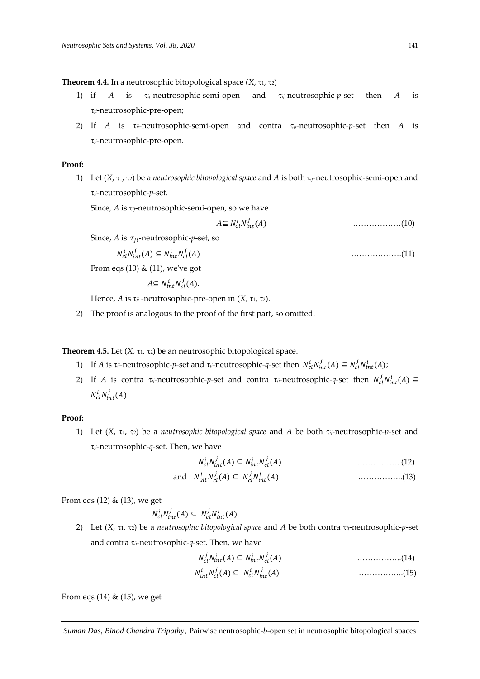**Theorem 4.4.** In a neutrosophic bitopological space  $(X, \tau_1, \tau_2)$ 

- 1) if *A* is  $\tau_{ij}$ -neutrosophic-semi-open and  $\tau_{ij}$ -neutrosophic-*p*-set then *A* is *ji*-neutrosophic-pre-open;
- 2) If *A* is  $\tau_{ji}$ -neutrosophic-semi-open and contra  $\tau_{ji}$ -neutrosophic-p-set then *A* is *ji*-neutrosophic-pre-open.

## **Proof:**

1) Let (*X*, 1, 2) be a *neutrosophic bitopological space* and *A* is both *ij*-neutrosophic-semi-open and *ji*-neutrosophic-*p*-set.

Since, *A* is  $\tau_{ij}$ -neutrosophic-semi-open, so we have

$$
A \subseteq N_{cl}^i N_{int}^j(A) \tag{10}
$$

Since, *A* is  $\tau_{ii}$ -neutrosophic-*p*-set, so

$$
N_{cl}^i N_{int}^j(A) \subseteq N_{int}^i N_{cl}^j(A) \tag{11}
$$

From eqs (10)  $\&$  (11), we've got

$$
A \subseteq N_{int}^i N_{cl}^j(A).
$$

Hence,  $A$  is  $\tau_{ji}$  -neutrosophic-pre-open in  $(X, \tau_1, \tau_2)$ .

2) The proof is analogous to the proof of the first part, so omitted.

**Theorem 4.5.** Let  $(X, \tau_1, \tau_2)$  be an neutrosophic bitopological space.

- 1) If *A* is  $\tau_{ij}$ -neutrosophic-*p*-set and  $\tau_{ji}$ -neutrosophic-*q*-set then  $N_{cl}^i N_{int}^j(A) \subseteq N_{cl}^j N_{int}^i(A)$ ;
- 2) If *A* is contra  $\tau_{ij}$ -neutrosophic-*p*-set and contra  $\tau_{ij}$ -neutrosophic-*q*-set then  $N_{cl}^j N_{int}^i(A) \subseteq$  $N_{cl}^i N_{int}^j(A)$ .

## **Proof:**

1) Let  $(X, \tau_1, \tau_2)$  be a *neutrosophic bitopological space* and *A* be both  $\tau_{ij}$ -neutrosophic-p-set and *ji*-neutrosophic-*q*-set. Then, we have

 () ⊆ () ……………..(12)

and 
$$
N_{int}^i N_{cl}^j(A) \subseteq N_{cl}^j N_{int}^i(A)
$$
 (13)

From eqs (12)  $\&$  (13), we get

$$
N_{cl}^i N_{int}^j(A) \subseteq N_{cl}^j N_{int}^i(A).
$$

2) Let  $(X, \tau_1, \tau_2)$  be a *neutrosophic bitopological space* and *A* be both contra  $\tau_{ij}$ -neutrosophic-p-set and contra *ij*-neutrosophic-*q*-set. Then, we have

$$
N_{cl}^j N_{int}^i(A) \subseteq N_{int}^i N_{cl}^j(A) \tag{14}
$$

$$
N_{int}^{i} N_{cl}^{j}(A) \subseteq N_{cl}^{i} N_{int}^{j}(A) \tag{15}
$$

From eqs (14)  $\&$  (15), we get

*Suman Das*, *Binod Chandra Tripathy*, Pairwise neutrosophic-*b*-open set in neutrosophic bitopological spaces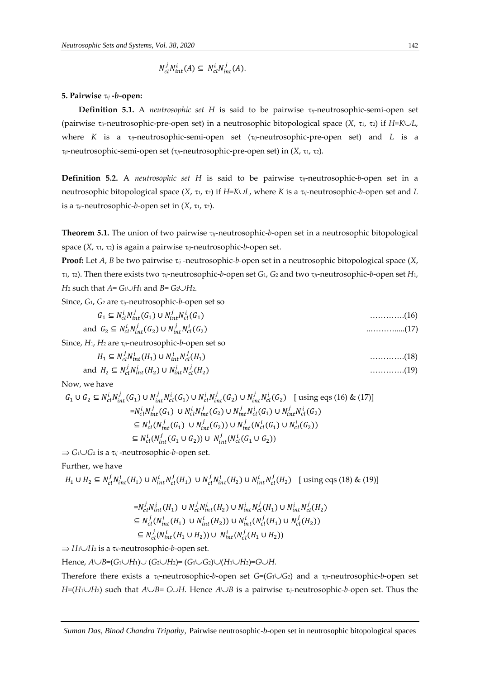$$
N_{cl}^j N_{int}^i(A) \subseteq N_{cl}^i N_{int}^j(A).
$$

#### **5. Pairwise** *ij* **-***b-***open:**

**Definition 5.1.** A *neutrosophic set H* is said to be pairwise *ij*-neutrosophic-semi*-*open set (pairwise *ij*-neutrosophic-pre*-*open set) in a neutrosophic bitopological space (*X*, 1, 2) if *H=KL*, where *K* is a *ij*-neutrosophic-semi*-*open set (*ij*-neutrosophic-pre*-*open set) and *L* is a *τ*j<sup>*i*</sup>-neutrosophic-semi-open set (*τ*<sub>j</sub>*i*-neutrosophic-pre-open set) in (*X*, *τ*<sub>1</sub>, *τ*<sub>2</sub>).

**Definition 5.2.** A *neutrosophic set H* is said to be pairwise *ij*-neutrosophic-*b-*open set in a neutrosophic bitopological space (*X*, 1, 2) if *H=KL*, where *K* is a *ij*-neutrosophic-*b-*open set and *L* is a  $\tau_{ji}$ -neutrosophic-*b*-open set in  $(X, \tau_1, \tau_2)$ .

**Theorem 5.1.** The union of two pairwise *ij*-neutrosophic-*b-*open set in a neutrosophic bitopological space (*X*, τι, τ2) is again a pairwise τ<sub>ij</sub>-neutrosophic-b-open set.

**Proof:** Let *A*, *B* be two pairwise *ij* -neutrosophic-*b-*open set in a neutrosophic bitopological space (*X*, 1, 2). Then there exists two *ij*-neutrosophic-*b-*open set *G*1, *G*<sup>2</sup> and two *ji*-neutrosophic-*b-*open set *H*1, *H*<sub>2</sub> such that  $A = G_1 \cup H_1$  and  $B = G_2 \cup H_2$ .

Since, *G*1, *G*<sup>2</sup> are *ij*-neutrosophic-*b-*open set so

$$
G_1 \subseteq N_{cl}^i N_{int}^j(G_1) \cup N_{int}^j N_{cl}^i(G_1)
$$
  
and  $G_2 \subseteq N_{cl}^i N_{int}^j(G_2) \cup N_{int}^j N_{cl}^i(G_2)$  (17)

Since, *H*1, *H*<sup>2</sup> are *ji*-neutrosophic-*b-*open set so

 <sup>1</sup> ⊆ (1) ∪ (1) ………….(18) and <sup>2</sup> ⊆ (2) ∪ (2) ………….(19)

Now, we have

$$
G_1 \cup G_2 \subseteq N_{cl}^i N_{int}^j(G_1) \cup N_{int}^j N_{cl}^i(G_1) \cup N_{cl}^i N_{int}^j(G_2) \cup N_{int}^j N_{cl}^i(G_2) \quad \text{[ using eqs (16) & (17)]}
$$
\n
$$
= N_{cl}^i N_{int}^j(G_1) \cup N_{cl}^i N_{int}^j(G_2) \cup N_{int}^j N_{cl}^i(G_1) \cup N_{int}^j N_{cl}^i(G_2)
$$
\n
$$
\subseteq N_{cl}^i(N_{int}^i(G_1) \cup N_{int}^j(G_2)) \cup N_{int}^j(N_{cl}^i(G_1) \cup N_{cl}^i(G_2))
$$
\n
$$
\subseteq N_{cl}^i(N_{int}^j(G_1 \cup G_2)) \cup N_{int}^j(N_{cl}^i(G_1 \cup G_2))
$$

 $\Rightarrow$  *G*<sub>1</sub> $\cup$ *G*<sub>2</sub> is a  $\tau$ <sub>*ij*</sub> -neutrosophic-*b*-open set.

Further, we have

 $H_1 \cup H_2 \subseteq N_{cl}^j N_{int}^i(H_1) \cup N_{int}^i N_{cl}^j(H_1) \cup N_{cl}^j N_{int}^i(H_2) \cup N_{int}^i N_{cl}^j(H_2)$  [using eqs (18) & (19)]

$$
=N_{cl}^j N_{int}^i(H_1) \cup N_{cl}^j N_{int}^i(H_2) \cup N_{int}^i N_{cl}^j(H_1) \cup N_{int}^i N_{cl}^j(H_2)
$$
  
\n
$$
\subseteq N_{cl}^j(N_{int}^i(H_1) \cup N_{int}^i(H_2)) \cup N_{int}^i(N_{cl}^j(H_1) \cup N_{cl}^j(H_2))
$$
  
\n
$$
\subseteq N_{cl}^j(N_{int}^i(H_1 \cup H_2)) \cup N_{int}^i(N_{cl}^j(H_1 \cup H_2))
$$

 $\Rightarrow$  *H*<sub>1</sub> $\cup$ *H*<sub>2</sub> is a  $\tau$ <sub>*ji*</sub>-neutrosophic-*b*-open set.

 $Hence, A \cup B = (G_1 \cup H_1) \cup (G_2 \cup H_2) = (G_1 \cup G_2) \cup (H_1 \cup H_2) = G \cup H.$ 

Therefore there exists a  $\tau_{ij}$ -neutrosophic-*b*-open set  $G=(G_1\cup G_2)$  and a  $\tau_{ji}$ -neutrosophic-*b*-open set *H*=( $H_1 \cup H_2$ ) such that  $A \cup B$ = *G* $\cup H$ . Hence  $A \cup B$  is a pairwise  $\tau_{ij}$ -neutrosophic-*b*-open set. Thus the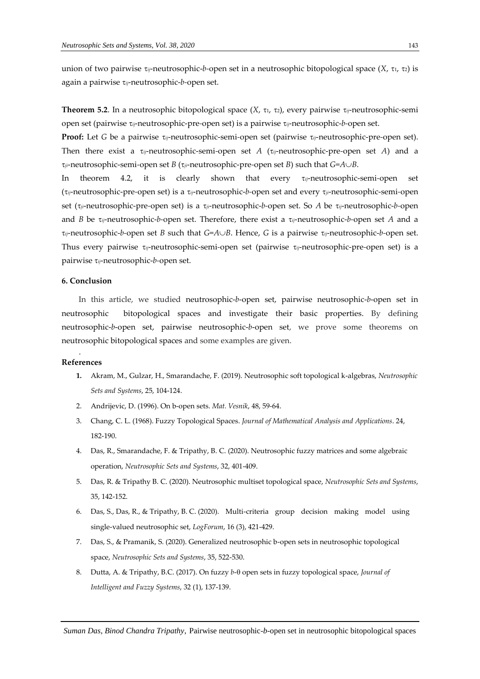union of two pairwise *ij*-neutrosophic-*b-*open set in a neutrosophic bitopological space (*X*, 1, 2) is again a pairwise *ij*-neutrosophic-*b-*open set.

**Theorem 5.2**. In a neutrosophic bitopological space  $(X, \tau_1, \tau_2)$ , every pairwise  $\tau_{ij}$ -neutrosophic-semi open set (pairwise *ij*-neutrosophic-pre*-*open set) is a pairwise *ij*-neutrosophic-*b-*open set.

**Proof:** Let *G* be a pairwise *ij*-neutrosophic-semi*-*open set (pairwise *ij*-neutrosophic-pre*-*open set). Then there exist a *ij*-neutrosophic-semi*-*open set *A* (*ij*-neutrosophic-pre*-*open set *A*) and a *ji*-neutrosophic-semi*-*open set *B* (*ji*-neutrosophic-pre*-*open set *B*) such that *G*=*AB*.

In theorem 4.2, it is clearly shown that every *ij*-neutrosophic-semi*-*open set (*ij*-neutrosophic-pre*-*open set) is a *ij*-neutrosophic-*b-*open set and every *ji*-neutrosophic-semi*-*open set (*ji*-neutrosophic-pre*-*open set) is a *ji*-neutrosophic-*b-*open set. So *A* be *ij*-neutrosophic-*b-*open and *B* be  $\tau_{ij}$ -neutrosophic-*b*-open set. Therefore, there exist a  $\tau_{ij}$ -neutrosophic-*b*-open set *A* and a *ij*-neutrosophic-*b-*open set *B* such that *G*=*AB*. Hence, *G* is a pairwise *ij*-neutrosophic-*b-*open set. Thus every pairwise *ij*-neutrosophic-semi*-*open set (pairwise *ij*-neutrosophic-pre*-*open set) is a pairwise *ij*-neutrosophic-*b-*open set.

# **6. Conclusion**

In this article, we studied neutrosophic-*b*-open set, pairwise neutrosophic-*b*-open set in neutrosophic bitopological spaces and investigate their basic properties. By defining neutrosophic-*b*-open set, pairwise neutrosophic-*b*-open set, we prove some theorems on neutrosophic bitopological spaces and some examples are given.

## . **References**

- **1.** Akram, M., Gulzar, H., Smarandache, F. (2019). Neutrosophic [soft topological k-algebras,](http://fs.unm.edu/NSS/NeutrosophicSoftTopologicalK-Algebras.pdf) *Neutrosophic Sets and Systems*, 25, 104-124.
- 2. Andrijevic, D. (1996). On b-open sets. *Mat. Vesnik*, 48, 59-64.
- 3. Chang, C. L. (1968). Fuzzy Topological Spaces. *Journal of Mathematical Analysis and Applications*. 24, 182-190.
- 4. Das, R., Smarandache, F. & Tripathy, B. C. (2020). Neutrosophic fuzzy matrices and some algebraic operation, *Neutrosophic Sets and Systems*, 32, 401-409.
- 5. Das, R. & Tripathy B. C. (2020). Neutrosophic multiset topological space, *Neutrosophic Sets and Systems*, 35, 142-152.
- 6. Das, S., Das, R., & Tripathy, B. C. (2020). Multi-criteria group decision making model using single-valued neutrosophic set, *LogForum*, 16 (3), 421-429.
- 7. Das, S., & Pramanik, S. (2020). Generalized neutrosophic b-open sets in neutrosophic topological space, *Neutrosophic Sets and Systems*, 35, 522-530.
- 8. Dutta, A. & Tripathy, B.C. (2017). On fuzzy *b*- $\theta$  open sets in fuzzy topological space, *Journal of Intelligent and Fuzzy Systems*, 32 (1), 137-139.